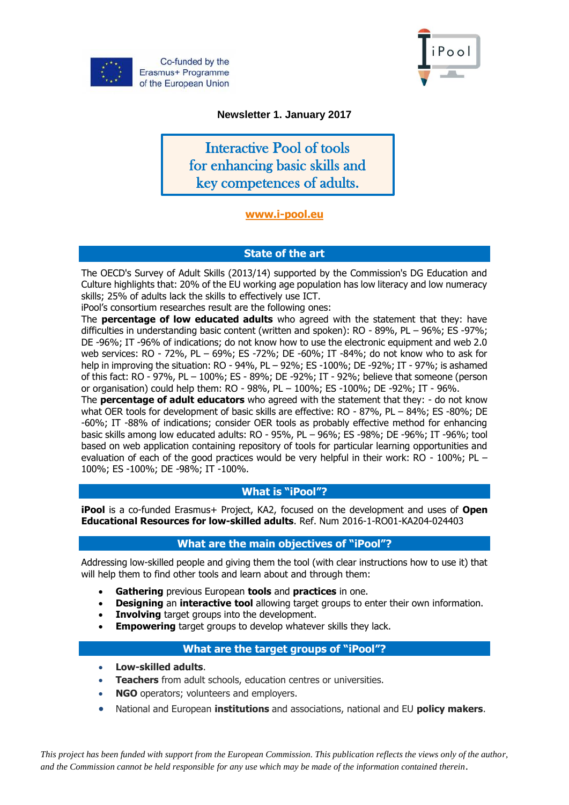



## **Newsletter 1. January 2017**

Interactive Pool of tools for enhancing basic skills and key competences of adults.

# **[www.i-pool.eu](http://www.i-pool.eu/)**

# **State of the art**

The OECD's Survey of Adult Skills (2013/14) supported by the Commission's DG Education and Culture highlights that: 20% of the EU working age population has low literacy and low numeracy skills; 25% of adults lack the skills to effectively use ICT.

iPool's consortium researches result are the following ones:

The **percentage of low educated adults** who agreed with the statement that they: have difficulties in understanding basic content (written and spoken): RO - 89%, PL – 96%; ES -97%; DE -96%; IT -96% of indications; do not know how to use the electronic equipment and web 2.0 web services: RO - 72%, PL – 69%; ES -72%; DE -60%; IT -84%; do not know who to ask for help in improving the situation: RO - 94%, PL – 92%; ES -100%; DE -92%; IT - 97%; is ashamed of this fact: RO - 97%, PL – 100%; ES - 89%; DE -92%; IT - 92%; believe that someone (person or organisation) could help them: RO - 98%, PL – 100%; ES -100%; DE -92%; IT - 96%.

The **percentage of adult educators** who agreed with the statement that they: - do not know what OER tools for development of basic skills are effective: RO - 87%, PL - 84%; ES -80%; DE -60%; IT -88% of indications; consider OER tools as probably effective method for enhancing basic skills among low educated adults: RO - 95%, PL – 96%; ES -98%; DE -96%; IT -96%; tool based on web application containing repository of tools for particular learning opportunities and evaluation of each of the good practices would be very helpful in their work: RO - 100%; PL – 100%; ES -100%; DE -98%; IT -100%.

### **What is "iPool"?**

**iPool** is a co-funded Erasmus+ Project, KA2, focused on the development and uses of **Open Educational Resources for low-skilled adults**. Ref. Num 2016-1-RO01-KA204-024403

### **What are the main objectives of "iPool"?**

Addressing low-skilled people and giving them the tool (with clear instructions how to use it) that will help them to find other tools and learn about and through them:

- **Gathering** previous European **tools** and **practices** in one.
- **Designing** an **interactive tool** allowing target groups to enter their own information.
- **Involving** target groups into the development.
- **Empowering** target groups to develop whatever skills they lack.

# **What are the target groups of "iPool"?**

- **Low-skilled adults**.
- **Teachers** from adult schools, education centres or universities.
- **NGO** operators; volunteers and employers.
- National and European **institutions** and associations, national and EU **policy makers**.

*This project has been funded with support from the European Commission. This publication reflects the views only of the author, and the Commission cannot be held responsible for any use which may be made of the information contained therein*.